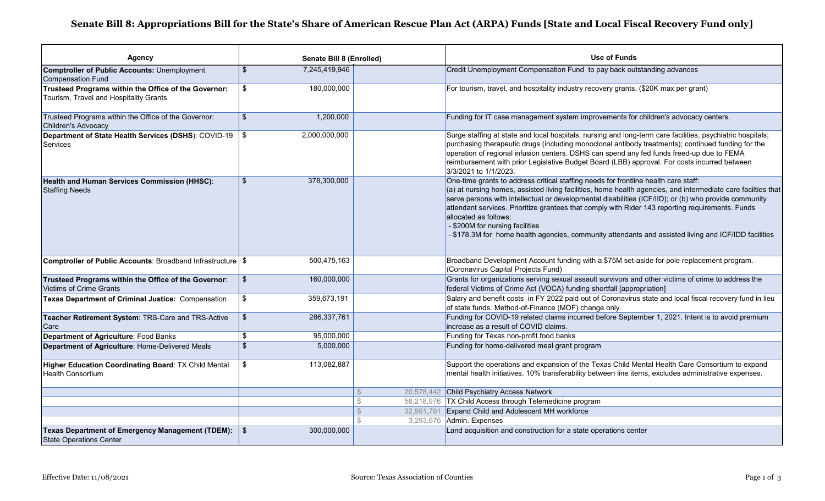## **Senate Bill 8: Appropriations Bill for the State's Share of American Rescue Plan Act (ARPA) Funds [State and Local Fiscal Recovery Fund only]**

| <b>Agency</b>                                                                                  | Senate Bill 8 (Enrolled)                 |                     | <b>Use of Funds</b>                                                                                                                                                                                                                                                                                                                                                                                                                                                                                                                                                                  |
|------------------------------------------------------------------------------------------------|------------------------------------------|---------------------|--------------------------------------------------------------------------------------------------------------------------------------------------------------------------------------------------------------------------------------------------------------------------------------------------------------------------------------------------------------------------------------------------------------------------------------------------------------------------------------------------------------------------------------------------------------------------------------|
| <b>Comptroller of Public Accounts: Unemployment</b><br><b>Compensation Fund</b>                | $\overline{\mathbf{s}}$<br>7,245,419,946 |                     | Credit Unemployment Compensation Fund to pay back outstanding advances                                                                                                                                                                                                                                                                                                                                                                                                                                                                                                               |
| Trusteed Programs within the Office of the Governor:<br>Tourism, Travel and Hospitality Grants | \$<br>180,000,000                        |                     | For tourism, travel, and hospitality industry recovery grants. (\$20K max per grant)                                                                                                                                                                                                                                                                                                                                                                                                                                                                                                 |
| Trusteed Programs within the Office of the Governor:<br><b>Children's Advocacy</b>             | 1,200,000<br>\$                          |                     | Funding for IT case management system improvements for children's advocacy centers.                                                                                                                                                                                                                                                                                                                                                                                                                                                                                                  |
| Department of State Health Services (DSHS): COVID-19<br><b>Services</b>                        | 2,000,000,000<br>\$                      |                     | Surge staffing at state and local hospitals, nursing and long-term care facilities, psychiatric hospitals;<br>purchasing therapeutic drugs (including monoclonal antibody treatments); continued funding for the<br>operation of regional infusion centers. DSHS can spend any fed funds freed-up due to FEMA<br>reimbursement with prior Legislative Budget Board (LBB) approval. For costs incurred between<br>3/3/2021 to 1/1/2023.                                                                                                                                               |
| Health and Human Services Commission (HHSC):<br><b>Staffing Needs</b>                          | \$<br>378,300,000                        |                     | One-time grants to address critical staffing needs for frontline health care staff:<br>(a) at nursing homes, assisted living facilities, home health agencies, and intermediate care facilties that<br>serve persons with intellectual or developmental disabilities (ICF/IID); or (b) who provide community<br>attendant services. Prioritize grantees that comply with Rider 143 reporting requirements. Funds<br>allocated as follows:<br>- \$200M for nursing facilities<br>- \$178.3M for home health agencies, community attendants and assisted living and ICF/IDD facilities |
| <b>Comptroller of Public Accounts: Broadband Infrastructure</b> \$                             | 500,475,163                              |                     | Broadband Development Account funding with a \$75M set-aside for pole replacement program.<br>(Coronavirus Capital Projects Fund)                                                                                                                                                                                                                                                                                                                                                                                                                                                    |
| Trusteed Programs within the Office of the Governor:<br><b>Victims of Crime Grants</b>         | \$<br>160,000,000                        |                     | Grants for organizations serving sexual assault survivors and other victims of crime to address the<br>federal Victims of Crime Act (VOCA) funding shortfall [appropriation]                                                                                                                                                                                                                                                                                                                                                                                                         |
| Texas Department of Criminal Justice: Compensation                                             | \$<br>359,673,191                        |                     | Salary and benefit costs in FY 2022 paid out of Coronavirus state and local fiscal recovery fund in lieu<br>of state funds. Method-of-Finance (MOF) change only.                                                                                                                                                                                                                                                                                                                                                                                                                     |
| Teacher Retirement System: TRS-Care and TRS-Active<br>Care                                     | $\frac{1}{2}$<br>286,337,761             |                     | Funding for COVID-19 related claims incurred before September 1, 2021. Intent is to avoid premium<br>increase as a result of COVID claims.                                                                                                                                                                                                                                                                                                                                                                                                                                           |
| Department of Agriculture: Food Banks                                                          | \$<br>95,000,000                         |                     | Funding for Texas non-profit food banks                                                                                                                                                                                                                                                                                                                                                                                                                                                                                                                                              |
| Department of Agriculture: Home-Delivered Meals                                                | $\overline{\mathcal{S}}$<br>5,000,000    |                     | Funding for home-delivered meal grant program                                                                                                                                                                                                                                                                                                                                                                                                                                                                                                                                        |
| Higher Education Coordinating Board: TX Child Mental<br><b>Health Consortium</b>               | \$<br>113,082,887                        |                     | Support the operations and expansion of the Texas Child Mental Health Care Consortium to expand<br>mental health initiatives. 10% transferability between line items, excludes administrative expenses.                                                                                                                                                                                                                                                                                                                                                                              |
|                                                                                                |                                          | $\mathcal{S}$       | 20,578,442 Child Psychiatry Access Network                                                                                                                                                                                                                                                                                                                                                                                                                                                                                                                                           |
|                                                                                                |                                          | <sup>\$</sup>       | 56,218,976 TX Child Access through Telemedicine program                                                                                                                                                                                                                                                                                                                                                                                                                                                                                                                              |
|                                                                                                |                                          | 32,991,791<br>$\Re$ | <b>Expand Child and Adolescent MH workforce</b>                                                                                                                                                                                                                                                                                                                                                                                                                                                                                                                                      |
|                                                                                                |                                          |                     | 3,293,676 Admin. Expenses                                                                                                                                                                                                                                                                                                                                                                                                                                                                                                                                                            |
| Texas Department of Emergency Management (TDEM):<br><b>State Operations Center</b>             | 300,000,000<br>- \$                      |                     | Land acquisition and construction for a state operations center                                                                                                                                                                                                                                                                                                                                                                                                                                                                                                                      |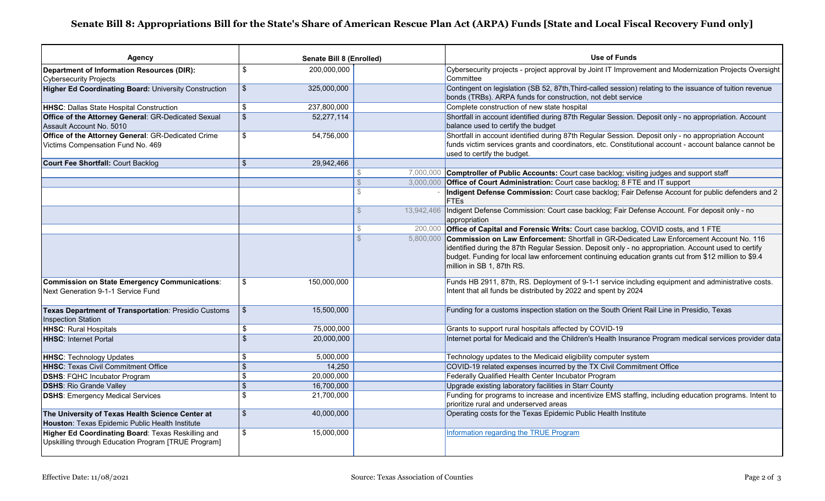## **Senate Bill 8: Appropriations Bill for the State's Share of American Rescue Plan Act (ARPA) Funds [State and Local Fiscal Recovery Fund only]**

| Agency                                                                                                    |                          | Senate Bill 8 (Enrolled) |               | <b>Use of Funds</b>                                                                                                                                                                                                                                                                                                                             |
|-----------------------------------------------------------------------------------------------------------|--------------------------|--------------------------|---------------|-------------------------------------------------------------------------------------------------------------------------------------------------------------------------------------------------------------------------------------------------------------------------------------------------------------------------------------------------|
| Department of Information Resources (DIR):                                                                | \$                       | 200,000,000              |               | Cybersecurity projects - project approval by Joint IT Improvement and Modernization Projects Oversight                                                                                                                                                                                                                                          |
| <b>Cybersecurity Projects</b>                                                                             |                          |                          |               | Committee                                                                                                                                                                                                                                                                                                                                       |
| <b>Higher Ed Coordinating Board: University Construction</b>                                              | $\mathfrak{L}$           | 325,000,000              |               | Contingent on legislation (SB 52, 87th, Third-called session) relating to the issuance of tuition revenue<br>bonds (TRBs). ARPA funds for construction, not debt service                                                                                                                                                                        |
| HHSC: Dallas State Hospital Construction                                                                  | \$                       | 237,800,000              |               | Complete construction of new state hospital                                                                                                                                                                                                                                                                                                     |
| Office of the Attorney General: GR-Dedicated Sexual<br>Assault Account No. 5010                           | $\frac{1}{2}$            | 52,277,114               |               | Shortfall in account identified during 87th Regular Session. Deposit only - no appropriation. Account<br>balance used to certify the budget                                                                                                                                                                                                     |
| Office of the Attorney General: GR-Dedicated Crime<br>Victims Compensation Fund No. 469                   | \$                       | 54,756,000               |               | Shortfall in account identified during 87th Regular Session. Deposit only - no appropriation Account<br>funds victim services grants and coordinators, etc. Constitutional account - account balance cannot be<br>used to certify the budget.                                                                                                   |
| <b>Court Fee Shortfall: Court Backlog</b>                                                                 | $\sqrt[6]{\frac{1}{2}}$  | 29,942,466               |               |                                                                                                                                                                                                                                                                                                                                                 |
|                                                                                                           |                          |                          |               | 7,000,000 Comptroller of Public Accounts: Court case backlog; visiting judges and support staff                                                                                                                                                                                                                                                 |
|                                                                                                           |                          |                          | $\mathcal{L}$ | 3,000,000 Office of Court Administration: Court case backlog; 8 FTE and IT support                                                                                                                                                                                                                                                              |
|                                                                                                           |                          |                          | $\mathcal{S}$ | Indigent Defense Commission: Court case backlog; Fair Defense Account for public defenders and 2<br><b>FTEs</b>                                                                                                                                                                                                                                 |
|                                                                                                           |                          |                          | $\mathbb{S}$  | 13,942,466   Indigent Defense Commission: Court case backlog; Fair Defense Account. For deposit only - no<br>appropriation                                                                                                                                                                                                                      |
|                                                                                                           |                          |                          | $\mathbb{S}$  | 200,000 Office of Capital and Forensic Writs: Court case backlog, COVID costs, and 1 FTE                                                                                                                                                                                                                                                        |
|                                                                                                           |                          |                          | $\mathcal{S}$ | 5,800,000 Commission on Law Enforcement: Shortfall in GR-Dedicated Law Enforcement Account No. 116<br>identified during the 87th Regular Session. Deposit only - no appropriation. Account used to certify<br>budget. Funding for local law enforcement continuing education grants cut from \$12 million to \$9.4<br>million in SB 1, 87th RS. |
| Commission on State Emergency Communications:<br>Next Generation 9-1-1 Service Fund                       | \$                       | 150,000,000              |               | Funds HB 2911, 87th, RS. Deployment of 9-1-1 service including equipment and administrative costs.<br>Intent that all funds be distributed by 2022 and spent by 2024                                                                                                                                                                            |
| Texas Department of Transportation: Presidio Customs<br><b>Inspection Station</b>                         | \$                       | 15,500,000               |               | Funding for a customs inspection station on the South Orient Rail Line in Presidio, Texas                                                                                                                                                                                                                                                       |
| <b>HHSC: Rural Hospitals</b>                                                                              | $\sqrt[6]{3}$            | 75,000,000               |               | Grants to support rural hospitals affected by COVID-19                                                                                                                                                                                                                                                                                          |
| <b>HHSC: Internet Portal</b>                                                                              | $\overline{\mathcal{S}}$ | 20,000,000               |               | Internet portal for Medicaid and the Children's Health Insurance Program medical services provider data                                                                                                                                                                                                                                         |
| <b>HHSC: Technology Updates</b>                                                                           | \$                       | 5,000,000                |               | Technology updates to the Medicaid eligibility computer system                                                                                                                                                                                                                                                                                  |
| <b>HHSC: Texas Civil Commitment Office</b>                                                                | $\mathcal{S}$            | 14,250                   |               | COVID-19 related expenses incurred by the TX Civil Commitment Office                                                                                                                                                                                                                                                                            |
| <b>DSHS: FQHC Incubator Program</b>                                                                       | $\mathbf{\hat{s}}$       | 20,000,000               |               | Federally Qualified Health Center Incubator Program                                                                                                                                                                                                                                                                                             |
| <b>DSHS: Rio Grande Valley</b>                                                                            | $\sqrt[6]{\frac{1}{2}}$  | 16,700,000               |               | Upgrade existing laboratory facilities in Starr County                                                                                                                                                                                                                                                                                          |
| <b>DSHS: Emergency Medical Services</b>                                                                   | $\mathfrak{s}$           | 21,700,000               |               | Funding for programs to increase and incentivize EMS staffing, including education programs. Intent to<br>prioritize rural and underserved areas                                                                                                                                                                                                |
| The University of Texas Health Science Center at                                                          | $\mathfrak{s}$           | 40,000,000               |               | Operating costs for the Texas Epidemic Public Health Institute                                                                                                                                                                                                                                                                                  |
| Houston: Texas Epidemic Public Health Institute                                                           |                          |                          |               |                                                                                                                                                                                                                                                                                                                                                 |
| Higher Ed Coordinating Board: Texas Reskilling and<br>Upskilling through Education Program [TRUE Program] | $\mathfrak{s}$           | 15,000,000               |               | Information regarding the TRUE Program                                                                                                                                                                                                                                                                                                          |